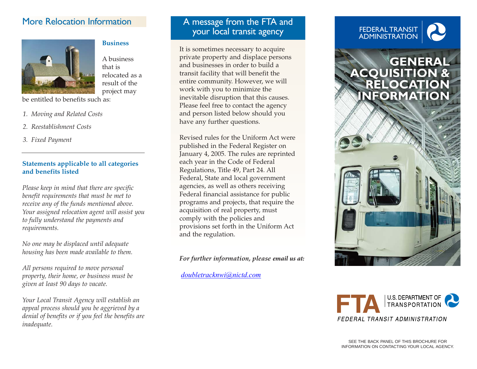# More Relocation Information



#### **Business**

A business that is relocated as a result of the project may

be entitled to benefits such as:

- *1. Moving and Related Costs*
- *2. Reestablishment Costs*
- *3. Fixed Payment*

#### **Statements applicable to all categories and benefits listed**

*Please keep in mind that there are specific benefit requirements that must be met to receive any of the funds mentioned above. Your assigned relocation agent will assist you to fully understand the payments and requirements.* 

*No one may be displaced until adequate housing has been made available to them.* 

*All persons required to move personal property, their home, or business must be given at least 90 days to vacate.* 

*Your Local Transit Agency will establish an appeal process should you be aggrieved by a denial of benefits or if you feel the benefits are inadequate.* 

# A message from the FTA and your local transit agency

It is sometimes necessary to acquire private property and displace persons and businesses in order to build a transit facility that will benefit the entire community. However, we will work with you to minimize the inevitable disruption that this causes. Please feel free to contact the agency and person listed below should you have any further questions.

Revised rules for the Uniform Act were published in the Federal Register on January 4, 2005. The rules are reprinted each year in the Code of Federal Regulations, Title 49, Part 24. All Federal, State and local government agencies, as well as others receiving Federal financial assistance for public programs and projects, that require the acquisition of real property, must comply with the policies and provisions set forth in the Uniform Act and the regulation.

*For further information, please email us at:*

*doubletracknwi@nictd.com*

# FEDERAL TRANSIT ADMINISTRATION

# GENERAL<br>ACQUISITION & RELOCATION **NFORMATIO**